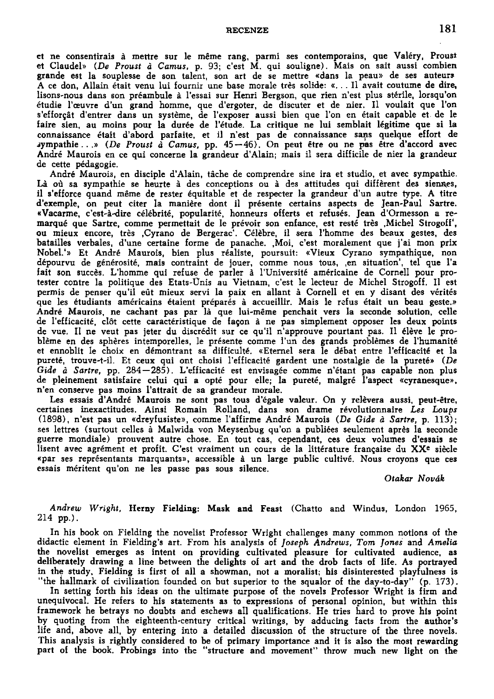**RECENZE 181** 

et ne consentirais á mettre sur le méme rang, parmi ses contemporains, que Valéry, Proust et Claudel» (De Proust à Camus, p. 93; c'est M. qui souligne). Mais on sait aussi combien grande est la souplesse de son talent, son art de se mettre «dans la peau» de ses auteurs A ce don, Allain était venu lui fournir une base morale très solide: «... Il avait coutume de dire, lisons-nous dans son preambule á 1'essai sur Henri Bergson, que rien n'est plus stérile, lorsqu'on étudie 1'ceuvre ďun grand homme, que ďergoter, de discuter et de nier. II voulait que l'on s'efforçât d'entrer dans un système, de l'exposer aussi bien que l'on en était capable et de le faire sien, au moins pour la durée de l'étude. La critique ne lui semblait légitime que si la connaissance était d'abord parfaite, et il n'est pas de connaissance sans quelque effort de jympathie . . .» *(De Proust á Camus,* pp. 45 — 46). On peut ětre ou ne pas étre ďaccord avec André Maurois en ce qui concerne la grandeur d'Alain; mais il sera difficile de nier la grandeur de cette pédagogie.

André Maurois, en disciple ďAlain, táche de comprendre sine ira et studio, et avec sympathie. Là où sa sympathie se heurte à des conceptions ou à des attitudes qui diffèrent des siennes, il s'efforce quand même de rester équitable et de respecter la grandeur d'un autre type. A titre d'exemple, on peut citer la manière dont il présente certains aspects de Jean-Paul Sartre. «Vacarme, c'est-á-dire **celebrité,** popularitě, honneurs offerts et refusés. Jean ďOrmesson a remarqué que Sartre, comme permettait de le prévoir son enfance, est reste trěs .Michel Strogoff, ou mieux encore, trěs .Cyrano de Bergerac'. Célěbre, i l sera 1'homme des beaux gestes, des batailles verbales, d'une certaine forme de panache. ,Moi, c'est moralement que j'ai mon prix Nobel.'» Et André Maurois, bien plus realisté, poursuit: «Vieux Cyrano sympathique, non dépourvu de générosité, mais contraint de jouer, comme nous tous, en situation', tel que l'a fait son succěs. L'homme qui refuse de parler á 1'Université américaine de Cornell pour protester contre la politique des Etats-Unis au Vietnam, c'est le lecteur de Michel Strogoff. II est permis de penser qu'il eút mieux servi la paix en allant á Cornell et en y disant des vérités que les étudiants américains étaient préparés á accueillir. Mais le refus était un beau geste.» André Maurois, ne cachant pas par lá que lui-méme penchait vers la seconde solution, celle de 1'efficacité, **clót** cette caractéristique de facon á ne pas simplement opposer les deux points de vue. II ne veut pas jeter du discrédit sur ce qu'il n'approuve pourtant pas. II élěve le probléme en des sphéres intemporelles, le présente comme l'un des grands problémes de 1'humanité et ennoblit le choix en démontrant sa difficulté. «Eternel sera le debat entre l'effícacité et la pureté, trouve-t-il. Et ceux qui ont choisi l'efficacité gardent une nostalgie de la pureté» *(De Gide á Sartre,* pp. 284—285). L'efficacité est envisagée comme n'étant pas capable non plus de pleinement satisfaire celui qui a opté pour elle; la pureté, malgré 1'aspect «cyranesque», n'en conserve pas moins 1'attrait de sa grandeur morale.

Les essais ďAndré Maurois ne sont pas tous ďégale valeur. On y relěvera aussi, peut-étre, certaines inexactitudes. Ainsi Romain Rolland, dans son drame révolutionnaire *Les Loups*  (1898), n'est pas un «dreyfusiste», comme 1'affirme André Maurois *(De Gide a Sartre,* p. 113); ses lettres (surtout celles á Malwida von Meysenbug qu'on a publiées seulement aprěs la seconde guerre mondiale) prouvent autre chose. En tout cas, cependant, ces deux volumes ďessais se lisent avec agrément et profit. C'est vraiment un cours de la littérature française du XX<sup>e</sup> siècle «par ses représentants marquants», accessible á un large public cultivé. Nous croyons que ces essais méritent qu'on ne les passe pas sous silence.

## *Otakar Novák*

## *Andrew Wright,* Herny Fielding: Mask and Feast (Chatto and Windus, London 1965, 214 pp.).

In his book on Fielding the novelist Professor Wright challenges many common notions of the didactic element in Fielding's art. From his analysis of *Joseph Andrews, Tom fones* and *Amelia*  the novelist emerges as intent on providing cultivated pleasure for cultivated audience, as deliberately drawing a line between the delights of art and the drob facts of life. As portrayed in the study, Fielding is first of all a showman, not a moralist; his disinterested playfulness is "the hallmark of civilization founded on but superior to the squalor of the day-to-day" (p. 173).

In setting forth his ideas on the ultimate purpose of the novels Professor Wright is firm and unequivocal. He refers to his statements as to expressions of personal opinion, but within this framework he betrays no doubts and eschews all qualifications. He tries hard to prove his point by quoting from the eighteenth-century critical writings, by adducing facts from the author's life and, above all, by entering into a detailed discussion of the structure of the three novels. This analysis is rightly considered to be of primary importance and it is also the most rewarding part of the book. Probings into the "structure and movement" throw much new light on the